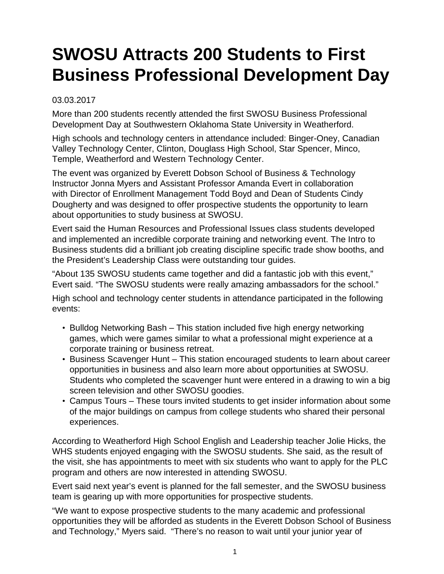## **SWOSU Attracts 200 Students to First Business Professional Development Day**

## 03.03.2017

More than 200 students recently attended the first SWOSU Business Professional Development Day at Southwestern Oklahoma State University in Weatherford.

High schools and technology centers in attendance included: Binger-Oney, Canadian Valley Technology Center, Clinton, Douglass High School, Star Spencer, Minco, Temple, Weatherford and Western Technology Center.

The event was organized by Everett Dobson School of Business & Technology Instructor Jonna Myers and Assistant Professor Amanda Evert in collaboration with Director of Enrollment Management Todd Boyd and Dean of Students Cindy Dougherty and was designed to offer prospective students the opportunity to learn about opportunities to study business at SWOSU.

Evert said the Human Resources and Professional Issues class students developed and implemented an incredible corporate training and networking event. The Intro to Business students did a brilliant job creating discipline specific trade show booths, and the President's Leadership Class were outstanding tour guides.

"About 135 SWOSU students came together and did a fantastic job with this event," Evert said. "The SWOSU students were really amazing ambassadors for the school."

High school and technology center students in attendance participated in the following events:

- Bulldog Networking Bash This station included five high energy networking games, which were games similar to what a professional might experience at a corporate training or business retreat.
- Business Scavenger Hunt This station encouraged students to learn about career opportunities in business and also learn more about opportunities at SWOSU. Students who completed the scavenger hunt were entered in a drawing to win a big screen television and other SWOSU goodies.
- Campus Tours These tours invited students to get insider information about some of the major buildings on campus from college students who shared their personal experiences.

According to Weatherford High School English and Leadership teacher Jolie Hicks, the WHS students enjoyed engaging with the SWOSU students. She said, as the result of the visit, she has appointments to meet with six students who want to apply for the PLC program and others are now interested in attending SWOSU.

Evert said next year's event is planned for the fall semester, and the SWOSU business team is gearing up with more opportunities for prospective students.

"We want to expose prospective students to the many academic and professional opportunities they will be afforded as students in the Everett Dobson School of Business and Technology," Myers said. "There's no reason to wait until your junior year of